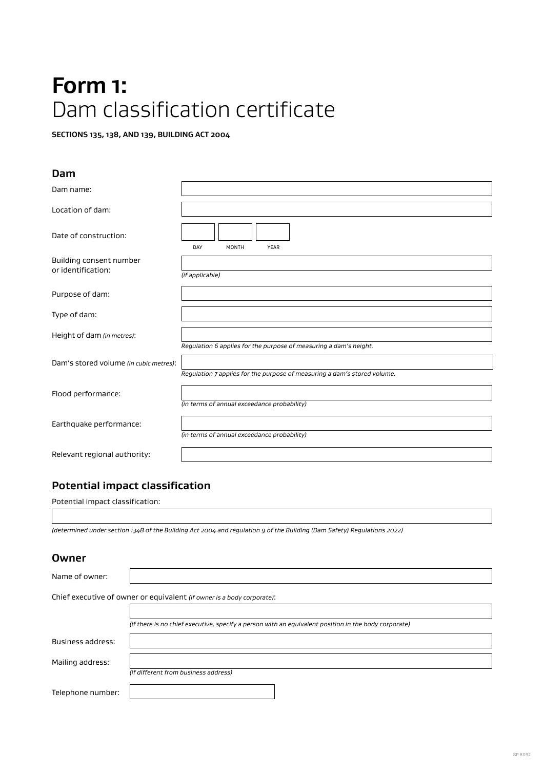# **Form 1:**  Dam classification certificate

**SECTIONS 135, 138, AND 139, BUILDING ACT 2004**

### **Dam**

| Dam name:                                     |                                                                          |
|-----------------------------------------------|--------------------------------------------------------------------------|
| Location of dam:                              |                                                                          |
| Date of construction:                         | DAY<br><b>MONTH</b><br>YEAR                                              |
| Building consent number<br>or identification: | (if applicable)                                                          |
| Purpose of dam:                               |                                                                          |
| Type of dam:                                  |                                                                          |
| Height of dam (in metres):                    | Regulation 6 applies for the purpose of measuring a dam's height.        |
| Dam's stored volume (in cubic metres):        | Regulation 7 applies for the purpose of measuring a dam's stored volume. |
| Flood performance:                            | (in terms of annual exceedance probability)                              |
| Earthquake performance:                       | (in terms of annual exceedance probability)                              |
| Relevant regional authority:                  |                                                                          |

## **Potential impact classification**

Potential impact classification:

*(determined under section 134B of the Building Act 2004 and regulation 9 of the Building (Dam Safety) Regulations 2022)*

### **Owner**

| Name of owner:                                                         |                                                                                                      |  |  |
|------------------------------------------------------------------------|------------------------------------------------------------------------------------------------------|--|--|
| Chief executive of owner or equivalent (if owner is a body corporate): |                                                                                                      |  |  |
|                                                                        |                                                                                                      |  |  |
|                                                                        | (if there is no chief executive, specify a person with an equivalent position in the body corporate) |  |  |
| Business address:                                                      |                                                                                                      |  |  |
| Mailing address:                                                       |                                                                                                      |  |  |
|                                                                        | (if different from business address)                                                                 |  |  |
| Telephone number:                                                      |                                                                                                      |  |  |